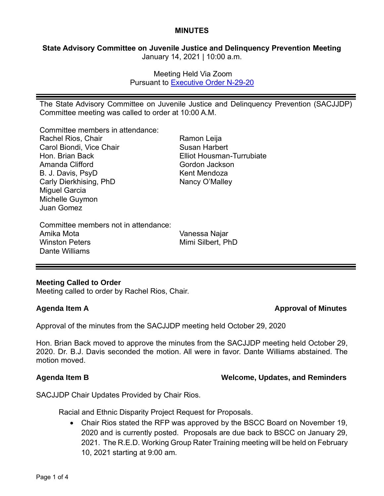### **MINUTES**

**State Advisory Committee on Juvenile Justice and Delinquency Prevention Meeting** January 14, 2021 | 10:00 a.m.

> Meeting Held Via Zoom Pursuant to [Executive Order N-29-20](https://www.gov.ca.gov/wp-content/uploads/2020/03/3.17.20-N-29-20-EO.pdf)

The State Advisory Committee on Juvenile Justice and Delinquency Prevention (SACJJDP) Committee meeting was called to order at 10:00 A.M.

Committee members in attendance:

| <b>Rachel Rios, Chair</b>                          | Ramon Leija                      |
|----------------------------------------------------|----------------------------------|
| Carol Biondi, Vice Chair                           | <b>Susan Harbert</b>             |
| Hon. Brian Back                                    | <b>Elliot Housman-Turrubiate</b> |
| Amanda Clifford                                    | Gordon Jackson                   |
| B. J. Davis, PsyD                                  | Kent Mendoza                     |
| Carly Dierkhising, PhD                             | Nancy O'Malley                   |
| <b>Miguel Garcia</b>                               |                                  |
| Michelle Guymon                                    |                                  |
| Juan Gomez                                         |                                  |
| Committee members not in attendance:<br>Amika Mata | Vanocca Naiar                    |

Amika Mota Winston Peters Dante Williams

Vanessa Najar Mimi Silbert, PhD

# **Meeting Called to Order**

Meeting called to order by Rachel Rios, Chair.

# **Agenda Item A Approval of Minutes**

Approval of the minutes from the SACJJDP meeting held October 29, 2020

Hon. Brian Back moved to approve the minutes from the SACJJDP meeting held October 29, 2020. Dr. B.J. Davis seconded the motion. All were in favor. Dante Williams abstained. The motion moved.

# **Agenda Item B Welcome, Updates, and Reminders**

SACJJDP Chair Updates Provided by Chair Rios.

Racial and Ethnic Disparity Project Request for Proposals.

• Chair Rios stated the RFP was approved by the BSCC Board on November 19, 2020 and is currently posted. Proposals are due back to BSCC on January 29, 2021. The R.E.D. Working Group Rater Training meeting will be held on February 10, 2021 starting at 9:00 am.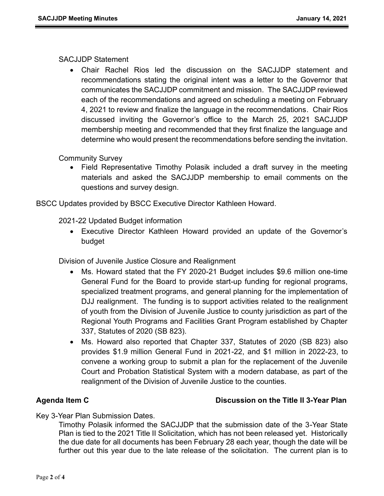# SACJJDP Statement

• Chair Rachel Rios led the discussion on the SACJJDP statement and recommendations stating the original intent was a letter to the Governor that communicates the SACJJDP commitment and mission. The SACJJDP reviewed each of the recommendations and agreed on scheduling a meeting on February 4, 2021 to review and finalize the language in the recommendations. Chair Rios discussed inviting the Governor's office to the March 25, 2021 SACJJDP membership meeting and recommended that they first finalize the language and determine who would present the recommendations before sending the invitation.

# Community Survey

• Field Representative Timothy Polasik included a draft survey in the meeting materials and asked the SACJJDP membership to email comments on the questions and survey design.

BSCC Updates provided by BSCC Executive Director Kathleen Howard.

2021-22 Updated Budget information

• Executive Director Kathleen Howard provided an update of the Governor's budget

Division of Juvenile Justice Closure and Realignment

- Ms. Howard stated that the FY 2020-21 Budget includes \$9.6 million one-time General Fund for the Board to provide start-up funding for regional programs, specialized treatment programs, and general planning for the implementation of DJJ realignment. The funding is to support activities related to the realignment of youth from the Division of Juvenile Justice to county jurisdiction as part of the Regional Youth Programs and Facilities Grant Program established by Chapter 337, Statutes of 2020 (SB 823).
- Ms. Howard also reported that Chapter 337, Statutes of 2020 (SB 823) also provides \$1.9 million General Fund in 2021-22, and \$1 million in 2022-23, to convene a working group to submit a plan for the replacement of the Juvenile Court and Probation Statistical System with a modern database, as part of the realignment of the Division of Juvenile Justice to the counties.

# **Agenda Item C Discussion on the Title II 3-Year Plan**

Key 3-Year Plan Submission Dates.

Timothy Polasik informed the SACJJDP that the submission date of the 3-Year State Plan is tied to the 2021 Title II Solicitation, which has not been released yet. Historically the due date for all documents has been February 28 each year, though the date will be further out this year due to the late release of the solicitation. The current plan is to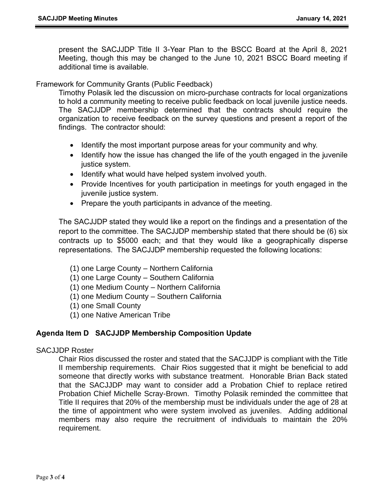present the SACJJDP Title II 3-Year Plan to the BSCC Board at the April 8, 2021 Meeting, though this may be changed to the June 10, 2021 BSCC Board meeting if additional time is available.

### Framework for Community Grants (Public Feedback)

Timothy Polasik led the discussion on micro-purchase contracts for local organizations to hold a community meeting to receive public feedback on local juvenile justice needs. The SACJJDP membership determined that the contracts should require the organization to receive feedback on the survey questions and present a report of the findings. The contractor should:

- Identify the most important purpose areas for your community and why.
- Identify how the issue has changed the life of the youth engaged in the juvenile justice system.
- Identify what would have helped system involved youth.
- Provide Incentives for youth participation in meetings for youth engaged in the juvenile justice system.
- Prepare the youth participants in advance of the meeting.

The SACJJDP stated they would like a report on the findings and a presentation of the report to the committee. The SACJJDP membership stated that there should be (6) six contracts up to \$5000 each; and that they would like a geographically disperse representations. The SACJJDP membership requested the following locations:

- (1) one Large County Northern California
- (1) one Large County Southern California
- (1) one Medium County Northern California
- (1) one Medium County Southern California
- (1) one Small County
- (1) one Native American Tribe

# **Agenda Item D SACJJDP Membership Composition Update**

### SACJJDP Roster

Chair Rios discussed the roster and stated that the SACJJDP is compliant with the Title II membership requirements. Chair Rios suggested that it might be beneficial to add someone that directly works with substance treatment. Honorable Brian Back stated that the SACJJDP may want to consider add a Probation Chief to replace retired Probation Chief Michelle Scray-Brown. Timothy Polasik reminded the committee that Title II requires that 20% of the membership must be individuals under the age of 28 at the time of appointment who were system involved as juveniles. Adding additional members may also require the recruitment of individuals to maintain the 20% requirement.